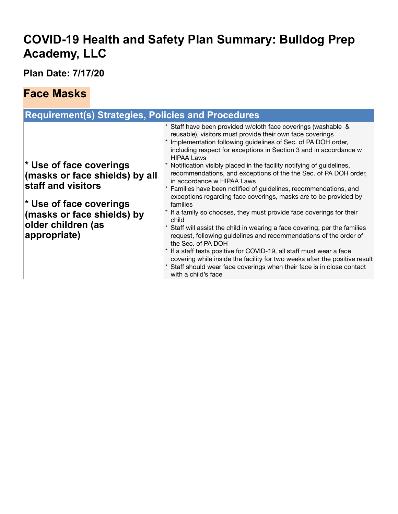## **COVID-19 Health and Safety Plan Summary: Bulldog Prep Academy, LLC**

**Plan Date: 7/17/20**

#### **Face Masks**

| <b>Requirement(s) Strategies, Policies and Procedures</b>                                                                                                                                           |                                                                                                                                                                                                                                                                                                                                                                                                                                                                                                                                                                                                                                                                                                                                                                                                                                                                                                                                                                                                                                                                                                                          |  |  |
|-----------------------------------------------------------------------------------------------------------------------------------------------------------------------------------------------------|--------------------------------------------------------------------------------------------------------------------------------------------------------------------------------------------------------------------------------------------------------------------------------------------------------------------------------------------------------------------------------------------------------------------------------------------------------------------------------------------------------------------------------------------------------------------------------------------------------------------------------------------------------------------------------------------------------------------------------------------------------------------------------------------------------------------------------------------------------------------------------------------------------------------------------------------------------------------------------------------------------------------------------------------------------------------------------------------------------------------------|--|--|
| * Use of face coverings<br>(masks or face shields) by all<br>staff and visitors<br>$\mathbf{\mathsf{\r}}$ Use of face coverings<br>(masks or face shields) by<br>older children (as<br>appropriate) | Staff have been provided w/cloth face coverings (washable &<br>reusable), visitors must provide their own face coverings<br>Implementation following guidelines of Sec. of PA DOH order,<br>including respect for exceptions in Section 3 and in accordance w<br><b>HIPAA Laws</b><br>Notification visibly placed in the facility notifying of guidelines,<br>recommendations, and exceptions of the the Sec. of PA DOH order,<br>in accordance w HIPAA Laws<br>Families have been notified of guidelines, recommendations, and<br>exceptions regarding face coverings, masks are to be provided by<br>families<br>If a family so chooses, they must provide face coverings for their<br>child<br>Staff will assist the child in wearing a face covering, per the families<br>request, following guidelines and recommendations of the order of<br>the Sec. of PA DOH<br>If a staff tests positive for COVID-19, all staff must wear a face<br>covering while inside the facility for two weeks after the positive result<br>Staff should wear face coverings when their face is in close contact<br>with a child's face |  |  |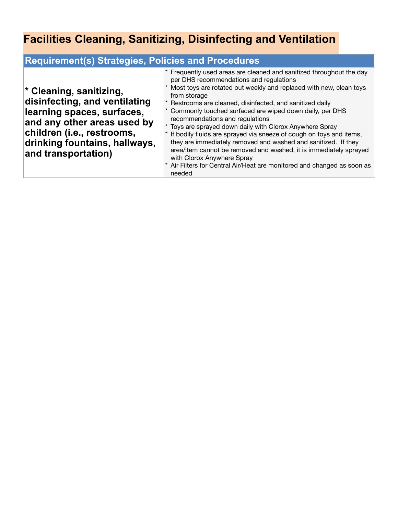# **Facilities Cleaning, Sanitizing, Disinfecting and Ventilation**

| <b>Requirement(s) Strategies, Policies and Procedures</b>                                                                                                                                                   |                                                                                                                                                                                                                                                                                                                                                                                                                                                                                                                                                                                                                                                                                                                                                       |  |
|-------------------------------------------------------------------------------------------------------------------------------------------------------------------------------------------------------------|-------------------------------------------------------------------------------------------------------------------------------------------------------------------------------------------------------------------------------------------------------------------------------------------------------------------------------------------------------------------------------------------------------------------------------------------------------------------------------------------------------------------------------------------------------------------------------------------------------------------------------------------------------------------------------------------------------------------------------------------------------|--|
| * Cleaning, sanitizing,<br>disinfecting, and ventilating<br>learning spaces, surfaces,<br>and any other areas used by<br>children (i.e., restrooms,<br>drinking fountains, hallways,<br>and transportation) | Frequently used areas are cleaned and sanitized throughout the day<br>per DHS recommendations and regulations<br>Most toys are rotated out weekly and replaced with new, clean toys<br>from storage<br>Restrooms are cleaned, disinfected, and sanitized daily<br>Commonly touched surfaced are wiped down daily, per DHS<br>recommendations and regulations<br>Toys are sprayed down daily with Clorox Anywhere Spray<br>If bodily fluids are sprayed via sneeze of cough on toys and items,<br>they are immediately removed and washed and sanitized. If they<br>area/item cannot be removed and washed, it is immediately sprayed<br>with Clorox Anywhere Spray<br>Air Filters for Central Air/Heat are monitored and changed as soon as<br>needed |  |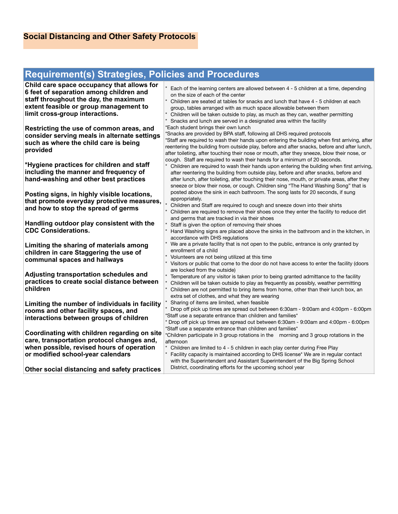#### **Requirement(s) Strategies, Policies and Procedures**

| Child care space occupancy that allows for<br>6 feet of separation among children and<br>staff throughout the day, the maximum<br>extent feasible or group management to<br>limit cross-group interactions.<br>Restricting the use of common areas, and<br>consider serving meals in alternate settings<br>such as where the child care is being<br>provided | Each of the learning centers are allowed between 4 - 5 children at a time, depending<br>on the size of each of the center<br>Children are seated at tables for snacks and lunch that have 4 - 5 children at each<br>group, tables arranged with as much space allowable between them<br>Children will be taken outside to play, as much as they can, weather permitting<br>Snacks and lunch are served in a designated area within the facility<br>*Each student brings their own lunch<br>*Snacks are provided by BPA staff, following all DHS required protocols<br>*Staff are required to wash their hands upon entering the building when first arriving, after<br>reentering the building from outside play, before and after snacks, before and after lunch,<br>after toileting, after touching their nose or mouth, after they sneeze, blow their nose, or |
|--------------------------------------------------------------------------------------------------------------------------------------------------------------------------------------------------------------------------------------------------------------------------------------------------------------------------------------------------------------|-------------------------------------------------------------------------------------------------------------------------------------------------------------------------------------------------------------------------------------------------------------------------------------------------------------------------------------------------------------------------------------------------------------------------------------------------------------------------------------------------------------------------------------------------------------------------------------------------------------------------------------------------------------------------------------------------------------------------------------------------------------------------------------------------------------------------------------------------------------------|
| *Hygiene practices for children and staff<br>including the manner and frequency of<br>hand-washing and other best practices                                                                                                                                                                                                                                  | cough. Staff are required to wash their hands for a minimum of 20 seconds.<br>Children are required to wash their hands upon entering the building when first arriving,<br>after reentering the building from outside play, before and after snacks, before and<br>after lunch, after toileting, after touching their nose, mouth, or private areas, after they<br>sneeze or blow their nose, or cough. Children sing "The Hand Washing Song" that is                                                                                                                                                                                                                                                                                                                                                                                                             |
| Posting signs, in highly visible locations,<br>that promote everyday protective measures,<br>and how to stop the spread of germs                                                                                                                                                                                                                             | posted above the sink in each bathroom. The song lasts for 20 seconds, if sung<br>appropriately.<br>Children and Staff are required to cough and sneeze down into their shirts<br>Children are required to remove their shoes once they enter the facility to reduce dirt<br>and germs that are tracked in via their shoes                                                                                                                                                                                                                                                                                                                                                                                                                                                                                                                                        |
| Handling outdoor play consistent with the<br><b>CDC Considerations.</b>                                                                                                                                                                                                                                                                                      | Staff is given the option of removing their shoes<br>Hand Washing signs are placed above the sinks in the bathroom and in the kitchen, in<br>accordance with DHS regulations                                                                                                                                                                                                                                                                                                                                                                                                                                                                                                                                                                                                                                                                                      |
| Limiting the sharing of materials among<br>children in care Staggering the use of<br>communal spaces and hallways                                                                                                                                                                                                                                            | We are a private facility that is not open to the public, entrance is only granted by<br>enrollment of a child<br>Volunteers are not being utilized at this time<br>Visitors or public that come to the door do not have access to enter the facility (doors                                                                                                                                                                                                                                                                                                                                                                                                                                                                                                                                                                                                      |
| Adjusting transportation schedules and<br>practices to create social distance between<br>children                                                                                                                                                                                                                                                            | are locked from the outside)<br>Temperature of any visitor is taken prior to being granted admittance to the facility<br>Children will be taken outside to play as frequently as possibly, weather permitting<br>Children are not permitted to bring items from home, other than their lunch box, an<br>extra set of clothes, and what they are wearing                                                                                                                                                                                                                                                                                                                                                                                                                                                                                                           |
| Limiting the number of individuals in facility<br>rooms and other facility spaces, and<br>interactions between groups of children                                                                                                                                                                                                                            | Sharing of items are limited, when feasible<br>Drop off pick up times are spread out between 6:30am - 9:00am and 4:00pm - 6:00pm<br>*Staff use a separate entrance than children and families*<br>Drop off pick up times are spread out between 6:30am - 9:00am and 4:00pm - 6:00pm<br>*Staff use a separate entrance than children and families*                                                                                                                                                                                                                                                                                                                                                                                                                                                                                                                 |
| Coordinating with children regarding on site<br>care, transportation protocol changes and,<br>when possible, revised hours of operation<br>or modified school-year calendars                                                                                                                                                                                 | *Children participate in 3 group rotations in the morning and 3 group rotations in the<br>afternoon<br>Children are limited to 4 - 5 children in each play center during Free Play<br>Facility capacity is maintained according to DHS license* We are in regular contact<br>with the Superintendent and Assistant Superintendent of the Big Spring School                                                                                                                                                                                                                                                                                                                                                                                                                                                                                                        |
| Other social distancing and safety practices                                                                                                                                                                                                                                                                                                                 | District, coordinating efforts for the upcoming school year                                                                                                                                                                                                                                                                                                                                                                                                                                                                                                                                                                                                                                                                                                                                                                                                       |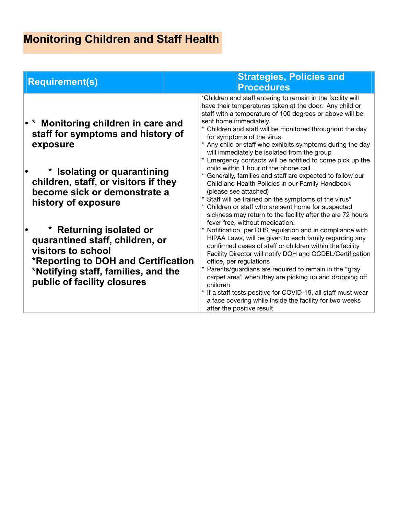# **Monitoring Children and Staff Health**

| <b>Requirement(s)</b>                                                                                                                                                                                                                                                                                                                                                                                                    | <b>Strategies, Policies and</b><br><b>Procedures</b>                                                                                                                                                                                                                                                                                                                                                                                                                                                                                                                                                                                                                                                                                                                                                                                                                                                                                                                                                                                                                                                                                                                                                                                                                                                                                                                                                                                            |
|--------------------------------------------------------------------------------------------------------------------------------------------------------------------------------------------------------------------------------------------------------------------------------------------------------------------------------------------------------------------------------------------------------------------------|-------------------------------------------------------------------------------------------------------------------------------------------------------------------------------------------------------------------------------------------------------------------------------------------------------------------------------------------------------------------------------------------------------------------------------------------------------------------------------------------------------------------------------------------------------------------------------------------------------------------------------------------------------------------------------------------------------------------------------------------------------------------------------------------------------------------------------------------------------------------------------------------------------------------------------------------------------------------------------------------------------------------------------------------------------------------------------------------------------------------------------------------------------------------------------------------------------------------------------------------------------------------------------------------------------------------------------------------------------------------------------------------------------------------------------------------------|
| • * Monitoring children in care and<br>staff for symptoms and history of<br>exposure<br>* Isolating or quarantining<br>children, staff, or visitors if they<br>become sick or demonstrate a<br>history of exposure<br><b>Returning isolated or</b><br>quarantined staff, children, or<br>visitors to school<br>*Reporting to DOH and Certification<br>*Notifying staff, families, and the<br>public of facility closures | *Children and staff entering to remain in the facility will<br>have their temperatures taken at the door. Any child or<br>staff with a temperature of 100 degrees or above will be<br>sent home immediately.<br>Children and staff will be monitored throughout the day<br>for symptoms of the virus<br>* Any child or staff who exhibits symptoms during the day<br>will immediately be isolated from the group<br>Emergency contacts will be notified to come pick up the<br>child within 1 hour of the phone call<br>Generally, families and staff are expected to follow our<br>Child and Health Policies in our Family Handbook<br>(please see attached)<br>* Staff will be trained on the symptoms of the virus*<br>Children or staff who are sent home for suspected<br>sickness may return to the facility after the are 72 hours<br>fever free, without medication.<br>* Notification, per DHS regulation and in compliance with<br>HIPAA Laws, will be given to each family regarding any<br>confirmed cases of staff or children within the facility<br>Facility Director will notify DOH and OCDEL/Certification<br>office, per regulations<br>Parents/guardians are required to remain in the "gray<br>carpet area" when they are picking up and dropping off<br>children<br>* If a staff tests positive for COVID-19, all staff must wear<br>a face covering while inside the facility for two weeks<br>after the positive result |